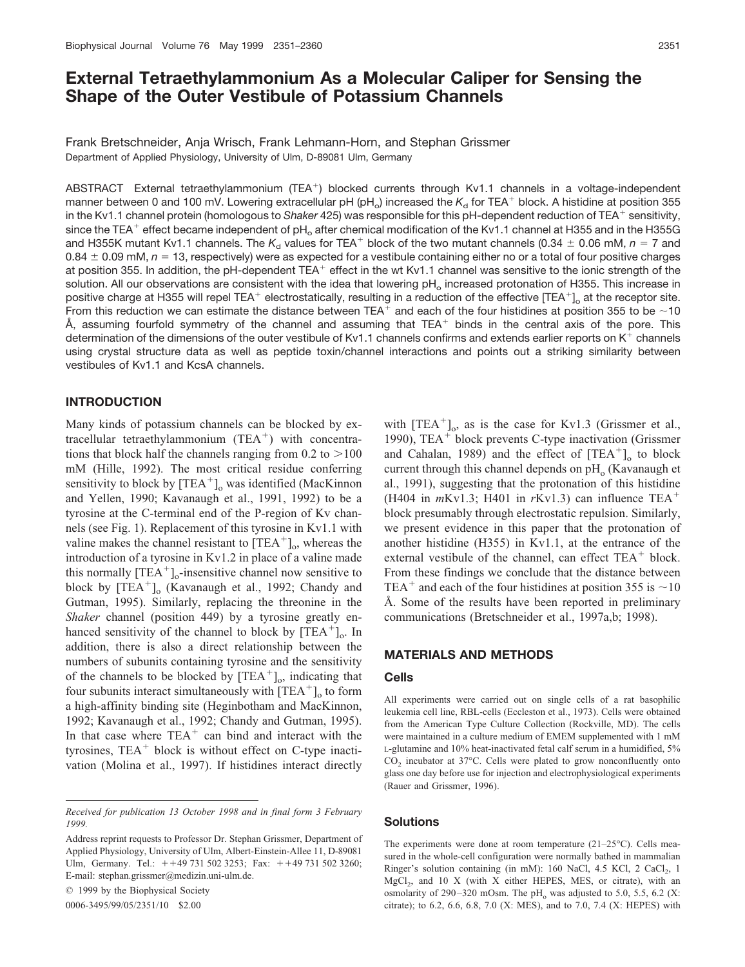# **External Tetraethylammonium As a Molecular Caliper for Sensing the Shape of the Outer Vestibule of Potassium Channels**

Frank Bretschneider, Anja Wrisch, Frank Lehmann-Horn, and Stephan Grissmer Department of Applied Physiology, University of Ulm, D-89081 Ulm, Germany

ABSTRACT External tetraethylammonium (TEA<sup>+</sup>) blocked currents through Kv1.1 channels in a voltage-independent manner between 0 and 100 mV. Lowering extracellular pH (pH<sub>o</sub>) increased the  $K_d$  for TEA<sup>+</sup> block. A histidine at position 355 in the Kv1.1 channel protein (homologous to Shaker 425) was responsible for this pH-dependent reduction of TEA<sup>+</sup> sensitivity, since the TEA<sup>+</sup> effect became independent of pH<sub>o</sub> after chemical modification of the Kv1.1 channel at H355 and in the H355G and H355K mutant Kv1.1 channels. The  $K_d$  values for TEA<sup>+</sup> block of the two mutant channels (0.34  $\pm$  0.06 mM,  $n=7$  and  $0.84 \pm 0.09$  mM,  $n = 13$ , respectively) were as expected for a vestibule containing either no or a total of four positive charges at position 355. In addition, the pH-dependent TEA<sup>+</sup> effect in the wt Kv1.1 channel was sensitive to the ionic strength of the solution. All our observations are consistent with the idea that lowering pH<sub>o</sub> increased protonation of H355. This increase in positive charge at H355 will repel TEA<sup>+</sup> electrostatically, resulting in a reduction of the effective [TEA<sup>+</sup>]<sub>o</sub> at the receptor site. From this reduction we can estimate the distance between TEA<sup>+</sup> and each of the four histidines at position 355 to be ~10 Å, assuming fourfold symmetry of the channel and assuming that TEA<sup>+</sup> binds in the central axis of the pore. This determination of the dimensions of the outer vestibule of Kv1.1 channels confirms and extends earlier reports on K<sup>+</sup> channels using crystal structure data as well as peptide toxin/channel interactions and points out a striking similarity between vestibules of Kv1.1 and KcsA channels.

### **INTRODUCTION**

Many kinds of potassium channels can be blocked by extracellular tetraethylammonium (TEA<sup>+</sup>) with concentrations that block half the channels ranging from  $0.2$  to  $>100$ mM (Hille, 1992). The most critical residue conferring sensitivity to block by  $[TEA^+]$ <sub>o</sub> was identified (MacKinnon and Yellen, 1990; Kavanaugh et al., 1991, 1992) to be a tyrosine at the C-terminal end of the P-region of Kv channels (see Fig. 1). Replacement of this tyrosine in Kv1.1 with valine makes the channel resistant to  $[TEA^+]_0$ , whereas the introduction of a tyrosine in Kv1.2 in place of a valine made this normally  $[TEA^+]$ <sub>o</sub>-insensitive channel now sensitive to block by  $[TEA^+]_0$  (Kavanaugh et al., 1992; Chandy and Gutman, 1995). Similarly, replacing the threonine in the *Shaker* channel (position 449) by a tyrosine greatly enhanced sensitivity of the channel to block by  $[TEA^+]_0$ . In addition, there is also a direct relationship between the numbers of subunits containing tyrosine and the sensitivity of the channels to be blocked by  $[TEA^+]_0$ , indicating that four subunits interact simultaneously with  $[TEA^+]$ <sub>o</sub> to form a high-affinity binding site (Heginbotham and MacKinnon, 1992; Kavanaugh et al., 1992; Chandy and Gutman, 1995). In that case where  $TEA<sup>+</sup>$  can bind and interact with the tyrosines, TEA<sup>+</sup> block is without effect on C-type inactivation (Molina et al., 1997). If histidines interact directly

© 1999 by the Biophysical Society

0006-3495/99/05/2351/10 \$2.00

with  $[TEA^+]_0$ , as is the case for Kv1.3 (Grissmer et al., 1990), TEA<sup>+</sup> block prevents C-type inactivation (Grissmer and Cahalan, 1989) and the effect of  $[TEA<sup>+</sup>]<sub>o</sub>$  to block current through this channel depends on  $\rm{pH}_{o}$  (Kavanaugh et al., 1991), suggesting that the protonation of this histidine (H404 in *m*Kv1.3; H401 in *r*Kv1.3) can influence TEA block presumably through electrostatic repulsion. Similarly, we present evidence in this paper that the protonation of another histidine (H355) in Kv1.1, at the entrance of the external vestibule of the channel, can effect TEA<sup>+</sup> block. From these findings we conclude that the distance between TEA<sup>+</sup> and each of the four histidines at position 355 is  $\sim$  10 Å. Some of the results have been reported in preliminary communications (Bretschneider et al., 1997a,b; 1998).

### **MATERIALS AND METHODS**

#### **Cells**

All experiments were carried out on single cells of a rat basophilic leukemia cell line, RBL-cells (Eccleston et al., 1973). Cells were obtained from the American Type Culture Collection (Rockville, MD). The cells were maintained in a culture medium of EMEM supplemented with 1 mM L-glutamine and 10% heat-inactivated fetal calf serum in a humidified, 5%  $CO<sub>2</sub>$  incubator at 37 $^{\circ}$ C. Cells were plated to grow nonconfluently onto glass one day before use for injection and electrophysiological experiments (Rauer and Grissmer, 1996).

#### **Solutions**

The experiments were done at room temperature (21–25°C). Cells measured in the whole-cell configuration were normally bathed in mammalian Ringer's solution containing (in mM): 160 NaCl, 4.5 KCl, 2 CaCl<sub>2</sub>, 1  $MgCl<sub>2</sub>$ , and 10 X (with X either HEPES, MES, or citrate), with an osmolarity of 290-320 mOsm. The pH<sub>o</sub> was adjusted to 5.0, 5.5, 6.2 (X: citrate); to 6.2, 6.6, 6.8, 7.0 (X: MES), and to 7.0, 7.4 (X: HEPES) with

*Received for publication 13 October 1998 and in final form 3 February 1999.*

Address reprint requests to Professor Dr. Stephan Grissmer, Department of Applied Physiology, University of Ulm, Albert-Einstein-Allee 11, D-89081 Ulm, Germany. Tel.: ++49 731 502 3253; Fax: ++49 731 502 3260; E-mail: stephan.grissmer@medizin.uni-ulm.de.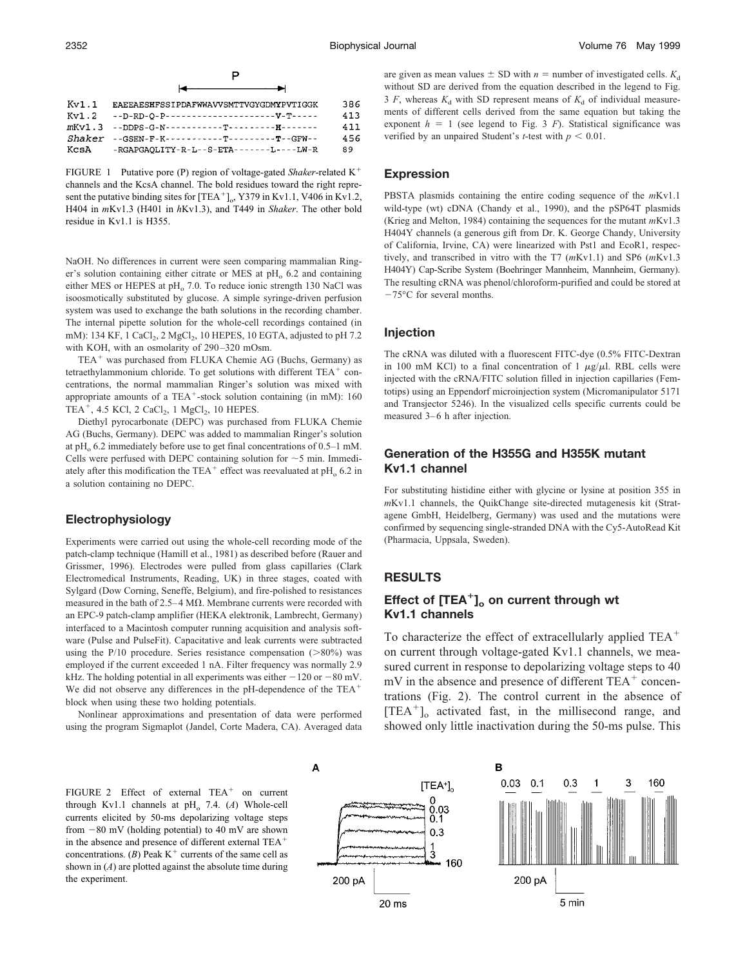P

| Kv1.1 | EAEEAESHFSSIPDAFWWAVVSMTTVGYGDMYPVTIGGK         | 386 |
|-------|-------------------------------------------------|-----|
| Kv1.2 | --D-RD-O-P---------------------V-T-----         | 413 |
|       |                                                 | 411 |
|       | $Shaker = GSTRN-F-K----------T---------F-GFN--$ | 456 |
|       | $KcsA$ -RGAPGAOLITY-R-L--S-ETA-------L----LW-R  | 89  |

FIGURE 1 Putative pore (P) region of voltage-gated *Shaker*-related K channels and the KcsA channel. The bold residues toward the right represent the putative binding sites for  $[TEA^+]_0$ , Y379 in Kv1.1, V406 in Kv1.2, H404 in *m*Kv1.3 (H401 in *h*Kv1.3), and T449 in *Shaker*. The other bold residue in Kv1.1 is H355.

NaOH. No differences in current were seen comparing mammalian Ringer's solution containing either citrate or MES at  $pH<sub>o</sub>$  6.2 and containing either MES or HEPES at  $pH<sub>o</sub>$  7.0. To reduce ionic strength 130 NaCl was isoosmotically substituted by glucose. A simple syringe-driven perfusion system was used to exchange the bath solutions in the recording chamber. The internal pipette solution for the whole-cell recordings contained (in mM): 134 KF, 1 CaCl<sub>2</sub>, 2 MgCl<sub>2</sub>, 10 HEPES, 10 EGTA, adjusted to pH 7.2 with KOH, with an osmolarity of 290-320 mOsm.

TEA<sup>+</sup> was purchased from FLUKA Chemie AG (Buchs, Germany) as tetraethylammonium chloride. To get solutions with different  $TEA<sup>+</sup>$  concentrations, the normal mammalian Ringer's solution was mixed with appropriate amounts of a TEA<sup>+</sup>-stock solution containing (in mM): 160 TEA<sup>+</sup>, 4.5 KCl, 2 CaCl<sub>2</sub>, 1 MgCl<sub>2</sub>, 10 HEPES.

Diethyl pyrocarbonate (DEPC) was purchased from FLUKA Chemie AG (Buchs, Germany). DEPC was added to mammalian Ringer's solution at pH<sub>o</sub> 6.2 immediately before use to get final concentrations of  $0.5-1$  mM. Cells were perfused with DEPC containing solution for  $\sim$  5 min. Immediately after this modification the TEA<sup>+</sup> effect was reevaluated at  $pH_0$  6.2 in a solution containing no DEPC.

### **Electrophysiology**

Experiments were carried out using the whole-cell recording mode of the patch-clamp technique (Hamill et al., 1981) as described before (Rauer and Grissmer, 1996). Electrodes were pulled from glass capillaries (Clark Electromedical Instruments, Reading, UK) in three stages, coated with Sylgard (Dow Corning, Seneffe, Belgium), and fire-polished to resistances measured in the bath of  $2.5-4 \text{ M}\Omega$ . Membrane currents were recorded with an EPC-9 patch-clamp amplifier (HEKA elektronik, Lambrecht, Germany) interfaced to a Macintosh computer running acquisition and analysis software (Pulse and PulseFit). Capacitative and leak currents were subtracted using the P/10 procedure. Series resistance compensation  $(80\%)$  was employed if the current exceeded 1 nA. Filter frequency was normally 2.9 kHz. The holding potential in all experiments was either  $-120$  or  $-80$  mV. We did not observe any differences in the pH-dependence of the TEA<sup>+</sup> block when using these two holding potentials.

Nonlinear approximations and presentation of data were performed using the program Sigmaplot (Jandel, Corte Madera, CA). Averaged data are given as mean values  $\pm$  SD with *n* = number of investigated cells.  $K_d$ without SD are derived from the equation described in the legend to Fig. 3 *F*, whereas  $K_d$  with SD represent means of  $K_d$  of individual measurements of different cells derived from the same equation but taking the exponent  $h = 1$  (see legend to Fig. 3 *F*). Statistical significance was verified by an unpaired Student's *t*-test with  $p < 0.01$ .

#### **Expression**

PBSTA plasmids containing the entire coding sequence of the *m*Kv1.1 wild-type (wt) cDNA (Chandy et al., 1990), and the pSP64T plasmids (Krieg and Melton, 1984) containing the sequences for the mutant *m*Kv1.3 H404Y channels (a generous gift from Dr. K. George Chandy, University of California, Irvine, CA) were linearized with Pst1 and EcoR1, respectively, and transcribed in vitro with the T7 (*m*Kv1.1) and SP6 (*m*Kv1.3 H404Y) Cap-Scribe System (Boehringer Mannheim, Mannheim, Germany). The resulting cRNA was phenol/chloroform-purified and could be stored at  $-75^{\circ}$ C for several months.

#### **Injection**

The cRNA was diluted with a fluorescent FITC-dye (0.5% FITC-Dextran in 100 mM KCl) to a final concentration of 1  $\mu$ g/ $\mu$ l. RBL cells were injected with the cRNA/FITC solution filled in injection capillaries (Femtotips) using an Eppendorf microinjection system (Micromanipulator 5171 and Transjector 5246). In the visualized cells specific currents could be measured 3–6 h after injection.

### **Generation of the H355G and H355K mutant Kv1.1 channel**

For substituting histidine either with glycine or lysine at position 355 in *m*Kv1.1 channels, the QuikChange site-directed mutagenesis kit (Stratagene GmbH, Heidelberg, Germany) was used and the mutations were confirmed by sequencing single-stranded DNA with the Cy5-AutoRead Kit (Pharmacia, Uppsala, Sweden).

### **RESULTS**

## **Effect of [TEA<sup>+</sup>]<sub>o</sub> on current through wt Kv1.1 channels**

To characterize the effect of extracellularly applied TEA<sup>+</sup> on current through voltage-gated Kv1.1 channels, we measured current in response to depolarizing voltage steps to 40  $mV$  in the absence and presence of different TEA<sup>+</sup> concentrations (Fig. 2). The control current in the absence of [TEA-]o activated fast, in the millisecond range, and showed only little inactivation during the 50-ms pulse. This

FIGURE 2 Effect of external  $TEA<sup>+</sup>$  on current through Kv1.1 channels at  $pH_0$  7.4. (*A*) Whole-cell currents elicited by 50-ms depolarizing voltage steps from  $-80$  mV (holding potential) to 40 mV are shown in the absence and presence of different external TEA<sup>+</sup> concentrations.  $(B)$  Peak K<sup>+</sup> currents of the same cell as shown in  $(A)$  are plotted against the absolute time during the experiment.

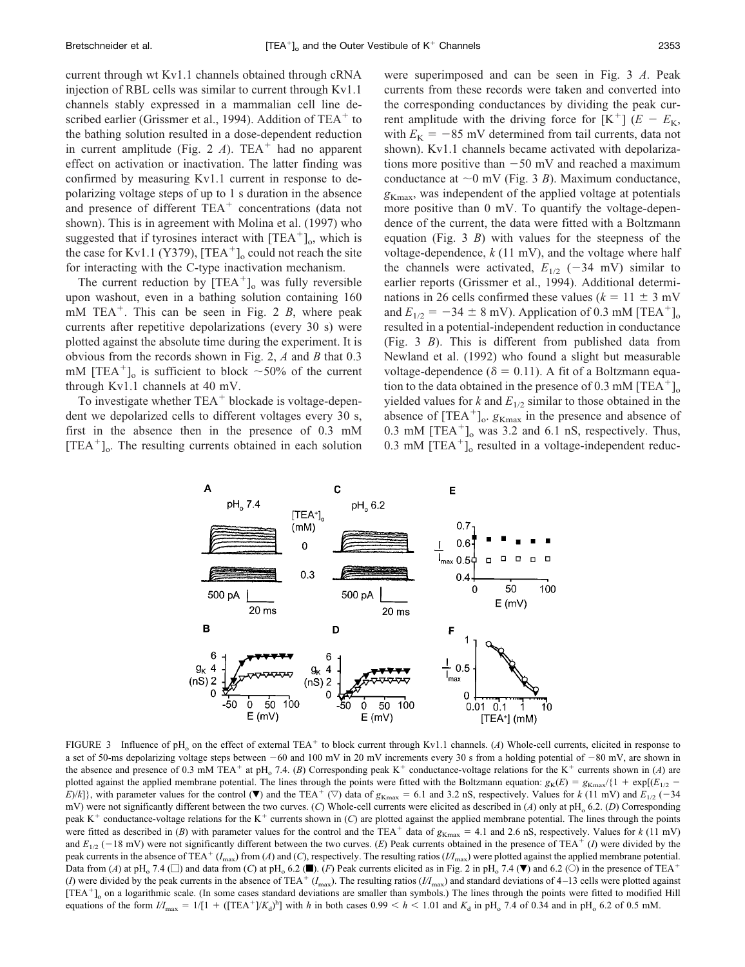current through wt Kv1.1 channels obtained through cRNA injection of RBL cells was similar to current through Kv1.1 channels stably expressed in a mammalian cell line described earlier (Grissmer et al., 1994). Addition of  $TEA<sup>+</sup>$  to the bathing solution resulted in a dose-dependent reduction in current amplitude (Fig. 2  $A$ ). TEA<sup>+</sup> had no apparent effect on activation or inactivation. The latter finding was confirmed by measuring Kv1.1 current in response to depolarizing voltage steps of up to 1 s duration in the absence and presence of different TEA<sup>+</sup> concentrations (data not shown). This is in agreement with Molina et al. (1997) who suggested that if tyrosines interact with  $[TEA^+]$ <sub>o</sub>, which is the case for Kv1.1 (Y379),  $[TEA^+]_0$  could not reach the site for interacting with the C-type inactivation mechanism.

The current reduction by  $[TEA^+]_0$  was fully reversible upon washout, even in a bathing solution containing 160 mM TEA<sup>+</sup>. This can be seen in Fig. 2 *B*, where peak currents after repetitive depolarizations (every 30 s) were plotted against the absolute time during the experiment. It is obvious from the records shown in Fig. 2, *A* and *B* that 0.3 mM  $[TEA^+]$ <sub>o</sub> is sufficient to block ~50% of the current through Kv1.1 channels at 40 mV.

To investigate whether TEA<sup>+</sup> blockade is voltage-dependent we depolarized cells to different voltages every 30 s, first in the absence then in the presence of 0.3 mM [TEA-]o. The resulting currents obtained in each solution

were superimposed and can be seen in Fig. 3 *A*. Peak currents from these records were taken and converted into the corresponding conductances by dividing the peak current amplitude with the driving force for  $[K^+]$   $(E - E_K)$ with  $E_K = -85$  mV determined from tail currents, data not shown). Kv1.1 channels became activated with depolarizations more positive than  $-50$  mV and reached a maximum conductance at  $\sim$ 0 mV (Fig. 3 *B*). Maximum conductance,  $g_{K\text{max}}$ , was independent of the applied voltage at potentials more positive than 0 mV. To quantify the voltage-dependence of the current, the data were fitted with a Boltzmann equation (Fig. 3 *B*) with values for the steepness of the voltage-dependence, *k* (11 mV), and the voltage where half the channels were activated,  $E_{1/2}$  (-34 mV) similar to earlier reports (Grissmer et al., 1994). Additional determinations in 26 cells confirmed these values ( $k = 11 \pm 3$  mV and  $E_{1/2} = -34 \pm 8$  mV). Application of 0.3 mM [TEA<sup>+</sup>]<sub>o</sub> resulted in a potential-independent reduction in conductance (Fig. 3 *B*). This is different from published data from Newland et al. (1992) who found a slight but measurable voltage-dependence ( $\delta = 0.11$ ). A fit of a Boltzmann equation to the data obtained in the presence of 0.3 mM [TEA<sup>+</sup>]<sub>o</sub> yielded values for  $k$  and  $E_{1/2}$  similar to those obtained in the absence of  $[TEA^+]$ <sub>o</sub>.  $g_{Kmax}$  in the presence and absence of  $0.3 \text{ mM } [\text{TEA}^+]_0$  was 3.2 and 6.1 nS, respectively. Thus,  $0.3$  mM  $[TEA^+]$ <sub>o</sub> resulted in a voltage-independent reduc-



FIGURE 3 Influence of pH<sub>o</sub> on the effect of external TEA<sup>+</sup> to block current through Kv1.1 channels. (*A*) Whole-cell currents, elicited in response to a set of 50-ms depolarizing voltage steps between  $-60$  and 100 mV in 20 mV increments every 30 s from a holding potential of  $-80$  mV, are shown in the absence and presence of 0.3 mM TEA<sup>+</sup> at pH<sub>o</sub> 7.4. (*B*) Corresponding peak K<sup>+</sup> conductance-voltage relations for the K<sup>+</sup> currents shown in (*A*) are plotted against the applied membrane potential. The lines through the points were fitted with the Boltzmann equation:  $g_K(E) = g_{Kmax}/\{1 + \exp[(E_{1/2} - E_{Kmax}]/E_{Kmax})\}$  $E/k$ ]}, with parameter values for the control ( $\nabla$ ) and the TEA<sup>+</sup> ( $\nabla$ ) data of  $g_{Kmax} = 6.1$  and 3.2 nS, respectively. Values for *k* (11 mV) and  $E_{1/2}$  (-34 mV) were not significantly different between the two curves. (*C*) Whole-cell currents were elicited as described in (*A*) only at pH<sub>0</sub> 6.2. (*D*) Corresponding peak K<sup>+</sup> conductance-voltage relations for the K<sup>+</sup> currents shown in (*C*) are plotted against the applied membrane potential. The lines through the points were fitted as described in (*B*) with parameter values for the control and the TEA<sup>+</sup> data of  $g_{Kmax} = 4.1$  and 2.6 nS, respectively. Values for *k* (11 mV) and  $E_{1/2}$  (-18 mV) were not significantly different between the two curves. (E) Peak currents obtained in the presence of TEA<sup>+</sup> (*I*) were divided by the peak currents in the absence of TEA<sup>+</sup> ( $I_{\text{max}}$ ) from (*A*) and (*C*), respectively. The resulting ratios ( $I/I_{\text{max}}$ ) were plotted against the applied membrane potential. Data from (*A*) at pH<sub>o</sub> 7.4 ( $\square$ ) and data from (*C*) at pH<sub>o</sub> 6.2 ( $\blacksquare$ ). (*F*) Peak currents elicited as in Fig. 2 in pH<sub>o</sub> 7.4 ( $\nabla$ ) and 6.2 ( $\odot$ ) in the presence of TEA<sup>+</sup> (*I*) were divided by the peak currents in the absence of TEA<sup>+</sup> ( $I_{\text{max}}$ ). The resulting ratios ( $I/I_{\text{max}}$ ) and standard deviations of 4–13 cells were plotted against [TEA<sup>+</sup>]<sub>o</sub> on a logarithmic scale. (In some cases standard deviations are smaller than symbols.) The lines through the points were fitted to modified Hill equations of the form  $I/I_{\text{max}} = 1/[1 + ([\text{TEA}^+]/K_d)^h]$  with *h* in both cases  $0.99 < h < 1.01$  and  $K_d$  in pH<sub>o</sub> 7.4 of 0.34 and in pH<sub>o</sub> 6.2 of 0.5 mM.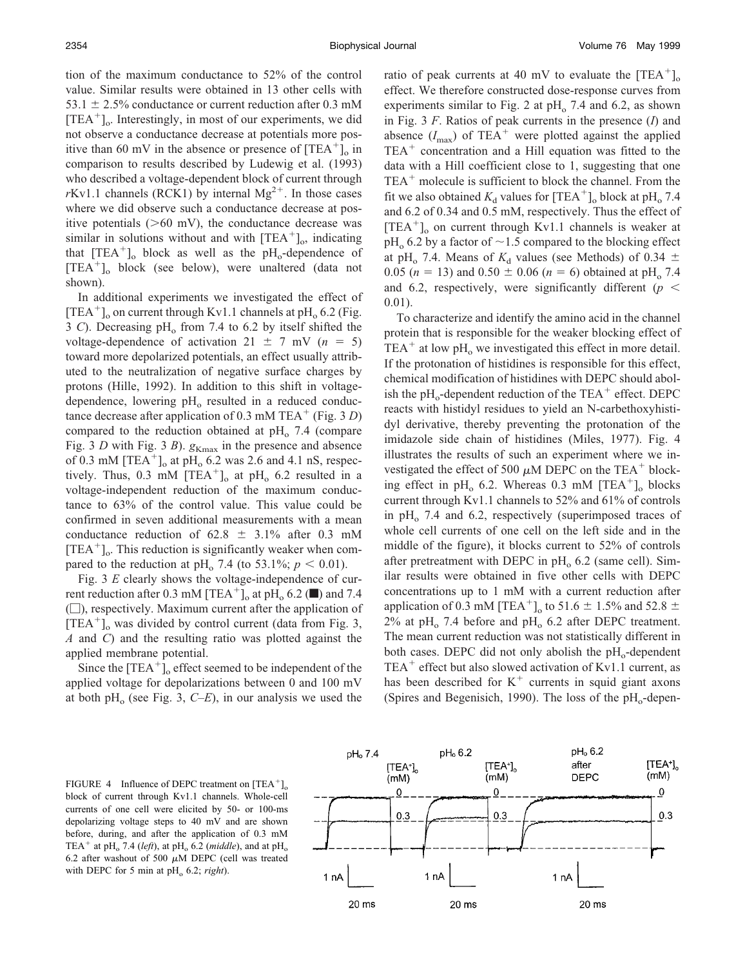tion of the maximum conductance to 52% of the control value. Similar results were obtained in 13 other cells with 53.1  $\pm$  2.5% conductance or current reduction after 0.3 mM [TEA<sup>+</sup>]<sub>o</sub>. Interestingly, in most of our experiments, we did not observe a conductance decrease at potentials more positive than 60 mV in the absence or presence of  $[TEA^+]_0$  in comparison to results described by Ludewig et al. (1993) who described a voltage-dependent block of current through  $rKv1.1$  channels (RCK1) by internal Mg<sup>2+</sup>. In those cases where we did observe such a conductance decrease at positive potentials  $(>60 \text{ mV})$ , the conductance decrease was similar in solutions without and with  $[TEA^+]$ <sub>o</sub>, indicating that  $[TEA^+]$ <sub>o</sub> block as well as the  $pH_0$ -dependence of [TEA-]o block (see below), were unaltered (data not shown).

In additional experiments we investigated the effect of [TEA<sup>+</sup>]<sub>o</sub> on current through Kv1.1 channels at pH<sub>o</sub> 6.2 (Fig. 3 *C*). Decreasing pH<sub>o</sub> from 7.4 to 6.2 by itself shifted the voltage-dependence of activation  $21 \pm 7$  mV ( $n = 5$ ) toward more depolarized potentials, an effect usually attributed to the neutralization of negative surface charges by protons (Hille, 1992). In addition to this shift in voltagedependence, lowering  $pH_0$  resulted in a reduced conductance decrease after application of 0.3 mM TEA<sup>+</sup> (Fig. 3 *D*) compared to the reduction obtained at  $pH_0$  7.4 (compare Fig. 3 *D* with Fig. 3 *B*).  $g_{Kmax}$  in the presence and absence of 0.3 mM  $[TEA<sup>+</sup>]<sub>o</sub>$  at  $pH<sub>o</sub>$  6.2 was 2.6 and 4.1 nS, respectively. Thus,  $0.3 \text{ mM } [\text{TEA}^+]_0$  at pH<sub>0</sub> 6.2 resulted in a voltage-independent reduction of the maximum conductance to 63% of the control value. This value could be confirmed in seven additional measurements with a mean conductance reduction of  $62.8 \pm 3.1\%$  after 0.3 mM  $[TEA<sup>+</sup>]$ <sub>o</sub>. This reduction is significantly weaker when compared to the reduction at pH<sub>o</sub> 7.4 (to 53.1%;  $p < 0.01$ ).

Fig. 3 *E* clearly shows the voltage-independence of current reduction after 0.3 mM [TEA<sup>+</sup>]<sub>o</sub> at pH<sub>o</sub> 6.2 ( $\blacksquare$ ) and 7.4  $(\Box)$ , respectively. Maximum current after the application of  $[TEA<sup>+</sup>]$ <sub>o</sub> was divided by control current (data from Fig. 3, *A* and *C*) and the resulting ratio was plotted against the applied membrane potential.

Since the  $[TEA^+]_0$  effect seemed to be independent of the applied voltage for depolarizations between 0 and 100 mV at both pH<sub>o</sub> (see Fig. 3,  $C-E$ ), in our analysis we used the

ratio of peak currents at 40 mV to evaluate the  $[TEA^+]_0$ effect. We therefore constructed dose-response curves from experiments similar to Fig. 2 at  $pH_0$  7.4 and 6.2, as shown in Fig. 3 *F*. Ratios of peak currents in the presence (*I*) and absence  $(I_{\text{max}})$  of TEA<sup>+</sup> were plotted against the applied  $TEA<sup>+</sup>$  concentration and a Hill equation was fitted to the data with a Hill coefficient close to 1, suggesting that one TEA<sup>+</sup> molecule is sufficient to block the channel. From the fit we also obtained  $K_d$  values for  $[TEA^+]_o$  block at pH<sub>o</sub> 7.4 and 6.2 of 0.34 and 0.5 mM, respectively. Thus the effect of [TEA<sup>+</sup>]<sub>o</sub> on current through Kv1.1 channels is weaker at  $pH<sub>o</sub>$  6.2 by a factor of  $\sim$  1.5 compared to the blocking effect at pH<sub>o</sub> 7.4. Means of  $K_d$  values (see Methods) of 0.34  $\pm$ 0.05 ( $n = 13$ ) and 0.50  $\pm$  0.06 ( $n = 6$ ) obtained at pH<sub>o</sub> 7.4 and 6.2, respectively, were significantly different ( $p <$ 0.01).

To characterize and identify the amino acid in the channel protein that is responsible for the weaker blocking effect of TEA<sup>+</sup> at low  $pH_0$  we investigated this effect in more detail. If the protonation of histidines is responsible for this effect, chemical modification of histidines with DEPC should abolish the  $\rm pH_{o}$ -dependent reduction of the TEA<sup>+</sup> effect. DEPC reacts with histidyl residues to yield an N-carbethoxyhistidyl derivative, thereby preventing the protonation of the imidazole side chain of histidines (Miles, 1977). Fig. 4 illustrates the results of such an experiment where we investigated the effect of 500  $\mu$ M DEPC on the TEA<sup>+</sup> blocking effect in  $pH_0$  6.2. Whereas 0.3 mM [TEA<sup>+</sup>]<sub>o</sub> blocks current through Kv1.1 channels to 52% and 61% of controls in  $pH_0$  7.4 and 6.2, respectively (superimposed traces of whole cell currents of one cell on the left side and in the middle of the figure), it blocks current to 52% of controls after pretreatment with DEPC in  $pH_0$  6.2 (same cell). Similar results were obtained in five other cells with DEPC concentrations up to 1 mM with a current reduction after application of 0.3 mM [TEA<sup>+</sup>]<sub>o</sub> to 51.6  $\pm$  1.5% and 52.8  $\pm$  $2\%$  at pH<sub>o</sub> 7.4 before and pH<sub>o</sub> 6.2 after DEPC treatment. The mean current reduction was not statistically different in both cases. DEPC did not only abolish the  $pH_0$ -dependent TEA<sup>+</sup> effect but also slowed activation of Kv1.1 current, as has been described for  $K^+$  currents in squid giant axons (Spires and Begenisich, 1990). The loss of the  $pH_0$ -depen-

FIGURE 4 Influence of DEPC treatment on  $[TEA^+]_0$ block of current through Kv1.1 channels. Whole-cell currents of one cell were elicited by 50- or 100-ms depolarizing voltage steps to 40 mV and are shown before, during, and after the application of 0.3 mM TEA<sup>+</sup> at pH<sub>o</sub> 7.4 (*left*), at pH<sub>o</sub> 6.2 (*middle*), and at pH<sub>o</sub> 6.2 after washout of 500  $\mu$ M DEPC (cell was treated with DEPC for 5 min at  $pH_0$  6.2; *right*).

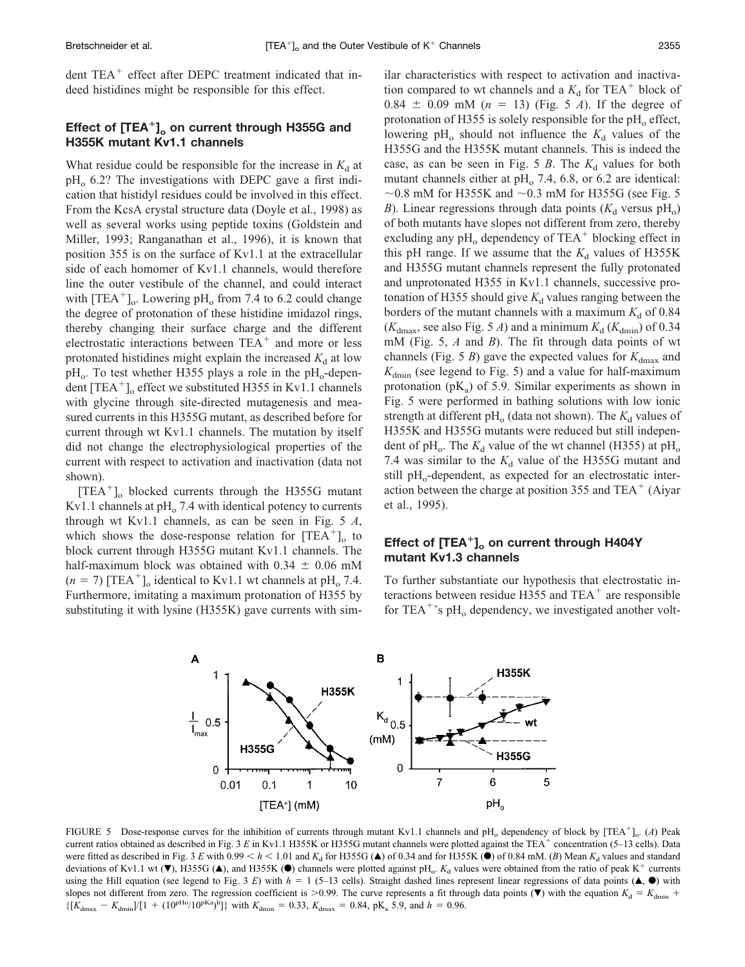#### Bretschneider et al.

dent TEA<sup>+</sup> effect after DEPC treatment indicated that indeed histidines might be responsible for this effect.

## **Effect of [TEA**-**]o on current through H355G and H355K mutant Kv1.1 channels**

What residue could be responsible for the increase in  $K_d$  at  $pH<sub>o</sub>$  6.2? The investigations with DEPC gave a first indication that histidyl residues could be involved in this effect. From the KcsA crystal structure data (Doyle et al., 1998) as well as several works using peptide toxins (Goldstein and Miller, 1993; Ranganathan et al., 1996), it is known that position 355 is on the surface of Kv1.1 at the extracellular side of each homomer of Kv1.1 channels, would therefore line the outer vestibule of the channel, and could interact with  $[TEA^+]$ <sub>o</sub>. Lowering pH<sub>o</sub> from 7.4 to 6.2 could change the degree of protonation of these histidine imidazol rings, thereby changing their surface charge and the different electrostatic interactions between  $TEA<sup>+</sup>$  and more or less protonated histidines might explain the increased  $K_d$  at low  $\rm{pH}_{o}$ . To test whether H355 plays a role in the  $\rm{pH}_{o}$ -dependent  $[TEA^+]$ <sub>o</sub> effect we substituted H355 in Kv1.1 channels with glycine through site-directed mutagenesis and measured currents in this H355G mutant, as described before for current through wt Kv1.1 channels. The mutation by itself did not change the electrophysiological properties of the current with respect to activation and inactivation (data not shown).

[TEA-]o blocked currents through the H355G mutant Kv1.1 channels at  $\rm pH_{o}$  7.4 with identical potency to currents through wt Kv1.1 channels, as can be seen in Fig. 5 *A*, which shows the dose-response relation for  $[TEA^+]_0$  to block current through H355G mutant Kv1.1 channels. The half-maximum block was obtained with  $0.34 \pm 0.06$  mM  $(n = 7)$  [TEA<sup>+</sup>]<sub>o</sub> identical to Kv1.1 wt channels at pH<sub>o</sub> 7.4. Furthermore, imitating a maximum protonation of H355 by substituting it with lysine (H355K) gave currents with sim-

ilar characteristics with respect to activation and inactivation compared to wt channels and a  $K_d$  for TEA<sup>+</sup> block of  $0.84 \pm 0.09$  mM ( $n = 13$ ) (Fig. 5 *A*). If the degree of protonation of H355 is solely responsible for the  $pH<sub>o</sub>$  effect, lowering  $pH_0$  should not influence the  $K_d$  values of the H355G and the H355K mutant channels. This is indeed the case, as can be seen in Fig. 5  $\beta$ . The  $K_d$  values for both mutant channels either at  $pH<sub>o</sub>$  7.4, 6.8, or 6.2 are identical:  $\sim$ 0.8 mM for H355K and  $\sim$ 0.3 mM for H355G (see Fig. 5 *B*). Linear regressions through data points  $(K<sub>d</sub>$  versus pH<sub>o</sub>) of both mutants have slopes not different from zero, thereby excluding any  $pH_0$  dependency of TEA<sup>+</sup> blocking effect in this pH range. If we assume that the  $K_d$  values of H355K and H355G mutant channels represent the fully protonated and unprotonated H355 in Kv1.1 channels, successive protonation of H355 should give  $K_d$  values ranging between the borders of the mutant channels with a maximum  $K_d$  of 0.84  $(K_{\text{dmax}})$ , see also Fig. 5 *A*) and a minimum  $K_d$  ( $K_{\text{dmin}}$ ) of 0.34 mM (Fig. 5, *A* and *B*). The fit through data points of wt channels (Fig. 5 *B*) gave the expected values for  $K_{\text{dmax}}$  and  $K_{\text{dmin}}$  (see legend to Fig. 5) and a value for half-maximum protonation ( $pK_a$ ) of 5.9. Similar experiments as shown in Fig. 5 were performed in bathing solutions with low ionic strength at different  $pH_0$  (data not shown). The  $K_d$  values of H355K and H355G mutants were reduced but still independent of pH<sub>o</sub>. The  $K_d$  value of the wt channel (H355) at pH<sub>o</sub> 7.4 was similar to the  $K_d$  value of the H355G mutant and still pH<sub>o</sub>-dependent, as expected for an electrostatic interaction between the charge at position 355 and TEA<sup>+</sup> (Aiyar et al., 1995).

## Effect of [TEA<sup>+</sup>]<sub>o</sub> on current through H404Y **mutant Kv1.3 channels**

To further substantiate our hypothesis that electrostatic interactions between residue H355 and  $TEA<sup>+</sup>$  are responsible for TEA<sup>+</sup>'s pH<sub>o</sub> dependency, we investigated another volt-



FIGURE 5 Dose-response curves for the inhibition of currents through mutant Kv1.1 channels and pH<sub>o</sub> dependency of block by [TEA<sup>+</sup>]<sub>o</sub>. (*A*) Peak current ratios obtained as described in Fig. 3 E in Kv1.1 H355K or H355G mutant channels were plotted against the TEA<sup>+</sup> concentration (5–13 cells). Data were fitted as described in Fig. 3 *E* with 0.99  $\lt h \lt 1.01$  and  $K_d$  for H355G (A) of 0.34 and for H355K ( $\bullet$ ) of 0.84 mM. (*B*) Mean  $K_d$  values and standard deviations of Kv1.1 wt ( $\nabla$ ), H355G ( $\triangle$ ), and H355K ( $\bullet$ ) channels were plotted against pH<sub>o</sub>.  $K_d$  values were obtained from the ratio of peak K<sup>+</sup> currents using the Hill equation (see legend to Fig. 3 *E*) with  $h = 1$  (5–13 cells). Straight dashed lines represent linear regressions of data points ( $\blacktriangle$ ,  $\blacktriangleright$ ) with slopes not different from zero. The regression coefficient is  $> 0.99$ . The curve represents a fit through data points ( $\blacktriangledown$ ) with the equation  $K_d = K_{dmin}$  +  $\{[K_{\text{dmax}} - K_{\text{dmin}}]/[1 + (10^{pHo}/10^{pKa})^h]\}$  with  $K_{\text{dmin}} = 0.33$ ,  $K_{\text{dmax}} = 0.84$ , pK<sub>a</sub> 5.9, and  $h = 0.96$ .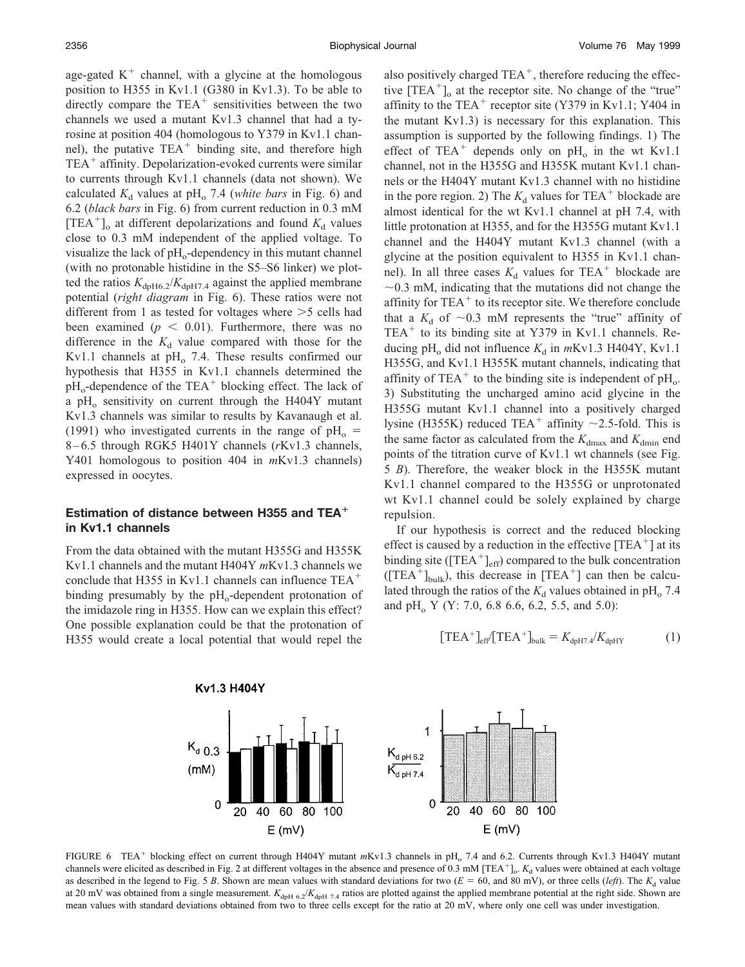age-gated  $K^+$  channel, with a glycine at the homologous position to H355 in Kv1.1 (G380 in Kv1.3). To be able to directly compare the  $TEA^+$  sensitivities between the two channels we used a mutant Kv1.3 channel that had a tyrosine at position 404 (homologous to Y379 in Kv1.1 channel), the putative  $TEA^+$  binding site, and therefore high TEA<sup>+</sup> affinity. Depolarization-evoked currents were similar to currents through Kv1.1 channels (data not shown). We calculated  $K_d$  values at pH<sub>o</sub> 7.4 (*white bars* in Fig. 6) and 6.2 (*black bars* in Fig. 6) from current reduction in 0.3 mM  $[TEA<sup>+</sup>]$ <sub>o</sub> at different depolarizations and found  $K_d$  values close to 0.3 mM independent of the applied voltage. To visualize the lack of  $pH_0$ -dependency in this mutant channel (with no protonable histidine in the S5–S6 linker) we plotted the ratios  $K_{\text{dpH6.2}}/K_{\text{dpH7.4}}$  against the applied membrane potential (*right diagram* in Fig. 6). These ratios were not different from 1 as tested for voltages where  $>5$  cells had been examined ( $p < 0.01$ ). Furthermore, there was no difference in the  $K_d$  value compared with those for the Kv1.1 channels at  $pH_0$  7.4. These results confirmed our hypothesis that H355 in Kv1.1 channels determined the  $\rm pH_{o}$ -dependence of the TEA<sup>+</sup> blocking effect. The lack of a pH<sub>o</sub> sensitivity on current through the H404Y mutant Kv1.3 channels was similar to results by Kavanaugh et al. (1991) who investigated currents in the range of  $pH_0 =$ 8 – 6.5 through RGK5 H401Y channels (*r*Kv1.3 channels, Y401 homologous to position 404 in *m*Kv1.3 channels) expressed in oocytes.

## **Estimation of distance between H355 and TEA in Kv1.1 channels**

From the data obtained with the mutant H355G and H355K Kv1.1 channels and the mutant H404Y *m*Kv1.3 channels we conclude that H355 in Kv1.1 channels can influence  $TEA<sup>+</sup>$ binding presumably by the  $pH_0$ -dependent protonation of the imidazole ring in H355. How can we explain this effect? One possible explanation could be that the protonation of H355 would create a local potential that would repel the

also positively charged TEA<sup>+</sup>, therefore reducing the effective  $[TEA^+]_0$  at the receptor site. No change of the "true" affinity to the TEA<sup>+</sup> receptor site (Y379 in Kv1.1; Y404 in the mutant Kv1.3) is necessary for this explanation. This assumption is supported by the following findings. 1) The effect of TEA<sup>+</sup> depends only on  $pH_0$  in the wt Kv1.1 channel, not in the H355G and H355K mutant Kv1.1 channels or the H404Y mutant Kv1.3 channel with no histidine in the pore region. 2) The  $K_d$  values for TEA<sup>+</sup> blockade are almost identical for the wt Kv1.1 channel at pH 7.4, with little protonation at H355, and for the H355G mutant Kv1.1 channel and the H404Y mutant Kv1.3 channel (with a glycine at the position equivalent to H355 in Kv1.1 channel). In all three cases  $K_d$  values for TEA<sup>+</sup> blockade are  $\sim$ 0.3 mM, indicating that the mutations did not change the affinity for  $TEA<sup>+</sup>$  to its receptor site. We therefore conclude that a  $K_d$  of  $\sim 0.3$  mM represents the "true" affinity of TEA<sup>+</sup> to its binding site at Y379 in Kv1.1 channels. Reducing pH<sub>o</sub> did not influence  $K_d$  in  $mKv1.3$  H404Y, Kv1.1 H355G, and Kv1.1 H355K mutant channels, indicating that affinity of TEA<sup>+</sup> to the binding site is independent of  $pH_0$ . 3) Substituting the uncharged amino acid glycine in the H355G mutant Kv1.1 channel into a positively charged lysine (H355K) reduced TEA<sup>+</sup> affinity  $\sim$ 2.5-fold. This is the same factor as calculated from the  $K_{\text{dmax}}$  and  $K_{\text{dmin}}$  end points of the titration curve of Kv1.1 wt channels (see Fig. 5 *B*). Therefore, the weaker block in the H355K mutant Kv1.1 channel compared to the H355G or unprotonated wt Kv1.1 channel could be solely explained by charge repulsion.

If our hypothesis is correct and the reduced blocking effect is caused by a reduction in the effective  $[TEA^+]$  at its binding site ( $[TEA^+]_{eff}$ ) compared to the bulk concentration  $( [TEA<sup>+</sup> ]<sub>bulk</sub>),$  this decrease in  $[TEA<sup>+</sup>]$  can then be calculated through the ratios of the  $K_d$  values obtained in pH<sub>o</sub> 7.4 and pH<sub>o</sub> Y (Y: 7.0, 6.8 6.6, 6.2, 5.5, and 5.0):

$$
[\text{TEA}^+]_{\text{eff}} [\text{TEA}^+]_{\text{bulk}} = K_{\text{dph7.4}} / K_{\text{dphY}} \tag{1}
$$



FIGURE 6 TEA<sup>+</sup> blocking effect on current through H404Y mutant mKv1.3 channels in pH<sub>o</sub> 7.4 and 6.2. Currents through Kv1.3 H404Y mutant channels were elicited as described in Fig. 2 at different voltages in the absence and presence of  $0.3 \text{ mM}$  [TEA<sup>+</sup>]<sub>o</sub>.  $K_d$  values were obtained at each voltage as described in the legend to Fig. 5 *B*. Shown are mean values with standard deviations for two ( $E = 60$ , and 80 mV), or three cells (*left*). The  $K_d$  value at 20 mV was obtained from a single measurement.  $K_{\text{dpH 6.2}}/K_{\text{dpH 7.4}}$  ratios are plotted against the applied membrane potential at the right side. Shown are mean values with standard deviations obtained from two to three cells except for the ratio at 20 mV, where only one cell was under investigation.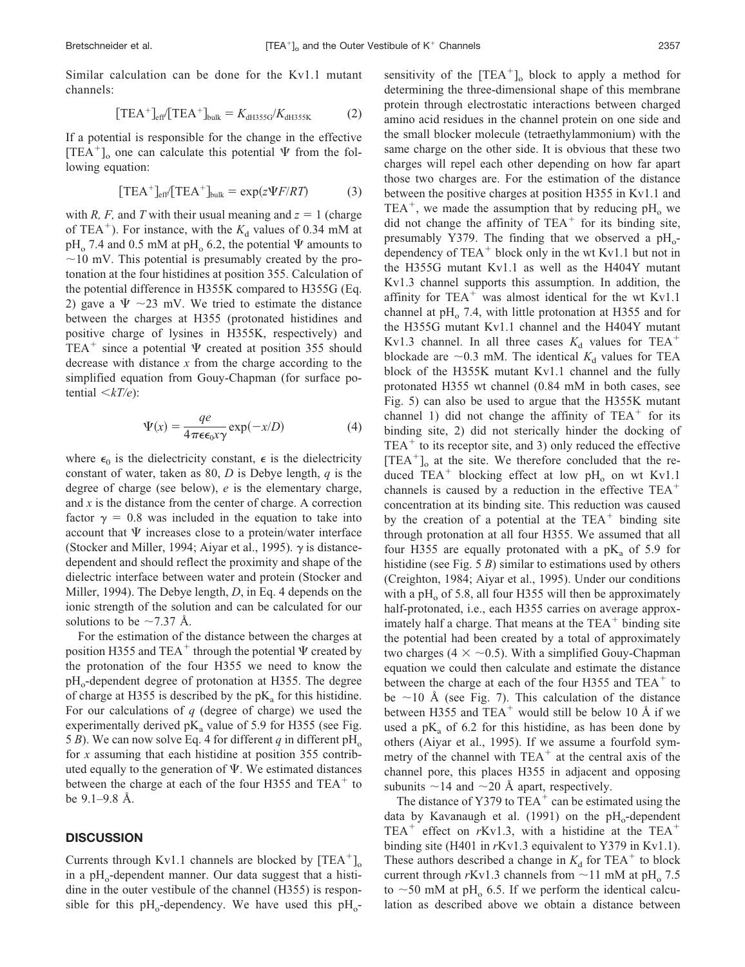Similar calculation can be done for the Kv1.1 mutant channels:

$$
[\text{TEA}^+]_{\text{eff}} [\text{TEA}^+]_{\text{bulk}} = K_{\text{dH355G}} / K_{\text{dH355K}} \tag{2}
$$

If a potential is responsible for the change in the effective [TEA<sup>+</sup>]<sub>o</sub> one can calculate this potential  $\Psi$  from the following equation:

$$
[\text{TEA}^+]_{\text{eff}} [\text{TEA}^+]_{\text{bulk}} = \exp(z\Psi F/RT) \tag{3}
$$

with *R, F,* and *T* with their usual meaning and  $z = 1$  (charge of TEA<sup>+</sup>). For instance, with the  $K_d$  values of 0.34 mM at  $pH_0$  7.4 and 0.5 mM at  $pH_0$  6.2, the potential  $\Psi$  amounts to  $\sim$ 10 mV. This potential is presumably created by the protonation at the four histidines at position 355. Calculation of the potential difference in H355K compared to H355G (Eq. 2) gave a  $\Psi \sim 23$  mV. We tried to estimate the distance between the charges at H355 (protonated histidines and positive charge of lysines in H355K, respectively) and TEA<sup>+</sup> since a potential  $\Psi$  created at position 355 should decrease with distance *x* from the charge according to the simplified equation from Gouy-Chapman (for surface potential  $\langle kT/e \rangle$ :

$$
\Psi(x) = \frac{qe}{4\pi\epsilon_0 x \gamma} \exp(-x/D)
$$
\n(4)

where  $\epsilon_0$  is the dielectricity constant,  $\epsilon$  is the dielectricity constant of water, taken as 80, *D* is Debye length, *q* is the degree of charge (see below), *e* is the elementary charge, and *x* is the distance from the center of charge. A correction factor  $\gamma = 0.8$  was included in the equation to take into account that  $\Psi$  increases close to a protein/water interface (Stocker and Miller, 1994; Aiyar et al., 1995).  $\gamma$  is distancedependent and should reflect the proximity and shape of the dielectric interface between water and protein (Stocker and Miller, 1994). The Debye length, *D*, in Eq. 4 depends on the ionic strength of the solution and can be calculated for our solutions to be  $\sim$ 7.37 Å.

For the estimation of the distance between the charges at position H355 and TEA<sup>+</sup> through the potential  $\Psi$  created by the protonation of the four H355 we need to know the  $pH<sub>o</sub>$ -dependent degree of protonation at H355. The degree of charge at H355 is described by the  $pK_a$  for this histidine. For our calculations of *q* (degree of charge) we used the experimentally derived  $pK_a$  value of 5.9 for H355 (see Fig. 5 *B*). We can now solve Eq. 4 for different *q* in different  $pH_0$ for *x* assuming that each histidine at position 355 contributed equally to the generation of  $\Psi$ . We estimated distances between the charge at each of the four H355 and  $TEA<sup>+</sup>$  to be 9.1–9.8 Å.

#### **DISCUSSION**

Currents through Kv1.1 channels are blocked by  $[TEA^+]_0$ in a  $pH_0$ -dependent manner. Our data suggest that a histidine in the outer vestibule of the channel (H355) is responsible for this  $pH_0$ -dependency. We have used this  $pH_0$ -

sensitivity of the  $[TEA^+]_o$  block to apply a method for determining the three-dimensional shape of this membrane protein through electrostatic interactions between charged amino acid residues in the channel protein on one side and the small blocker molecule (tetraethylammonium) with the same charge on the other side. It is obvious that these two charges will repel each other depending on how far apart those two charges are. For the estimation of the distance between the positive charges at position H355 in Kv1.1 and TEA<sup>+</sup>, we made the assumption that by reducing  $pH_0$  we did not change the affinity of  $TEA<sup>+</sup>$  for its binding site, presumably Y379. The finding that we observed a  $pH_0$ dependency of  $TEA<sup>+</sup>$  block only in the wt Kv1.1 but not in the H355G mutant Kv1.1 as well as the H404Y mutant Kv1.3 channel supports this assumption. In addition, the affinity for TEA<sup>+</sup> was almost identical for the wt Kv1.1 channel at  $pH_0$  7.4, with little protonation at H355 and for the H355G mutant Kv1.1 channel and the H404Y mutant Kv1.3 channel. In all three cases  $K_d$  values for TEA<sup>+</sup> blockade are  $\sim$ 0.3 mM. The identical  $K_d$  values for TEA block of the H355K mutant Kv1.1 channel and the fully protonated H355 wt channel (0.84 mM in both cases, see Fig. 5) can also be used to argue that the H355K mutant channel 1) did not change the affinity of  $TEA<sup>+</sup>$  for its binding site, 2) did not sterically hinder the docking of  $TEA<sup>+</sup>$  to its receptor site, and 3) only reduced the effective [TEA<sup>+</sup>]<sub>o</sub> at the site. We therefore concluded that the reduced  $TEA^+$  blocking effect at low pH<sub>o</sub> on wt Kv1.1 channels is caused by a reduction in the effective TEA concentration at its binding site. This reduction was caused by the creation of a potential at the  $TEA<sup>+</sup>$  binding site through protonation at all four H355. We assumed that all four H355 are equally protonated with a  $pK_a$  of 5.9 for histidine (see Fig. 5 *B*) similar to estimations used by others (Creighton, 1984; Aiyar et al., 1995). Under our conditions with a pH $_{o}$  of 5.8, all four H355 will then be approximately half-protonated, *i.e.*, each H355 carries on average approximately half a charge. That means at the TEA<sup>+</sup> binding site the potential had been created by a total of approximately two charges (4  $\times$  ~0.5). With a simplified Gouy-Chapman equation we could then calculate and estimate the distance between the charge at each of the four H355 and  $TEA<sup>+</sup>$  to be  $\sim$ 10 Å (see Fig. 7). This calculation of the distance between H355 and  $TEA^+$  would still be below 10 Å if we used a  $pK_a$  of 6.2 for this histidine, as has been done by others (Aiyar et al., 1995). If we assume a fourfold symmetry of the channel with TEA<sup>+</sup> at the central axis of the channel pore, this places H355 in adjacent and opposing subunits  $\sim$  14 and  $\sim$  20 Å apart, respectively.

The distance of Y379 to  $TEA^+$  can be estimated using the data by Kavanaugh et al. (1991) on the  $pH_0$ -dependent  $TEA^+$  effect on  $rKv1.3$ , with a histidine at the  $TEA^+$ binding site (H401 in *r*Kv1.3 equivalent to Y379 in Kv1.1). These authors described a change in  $K_d$  for TEA<sup>+</sup> to block current through  $rKv1.3$  channels from  $\sim$ 11 mM at pH<sub>0</sub> 7.5 to  $\sim$  50 mM at pH<sub>o</sub> 6.5. If we perform the identical calculation as described above we obtain a distance between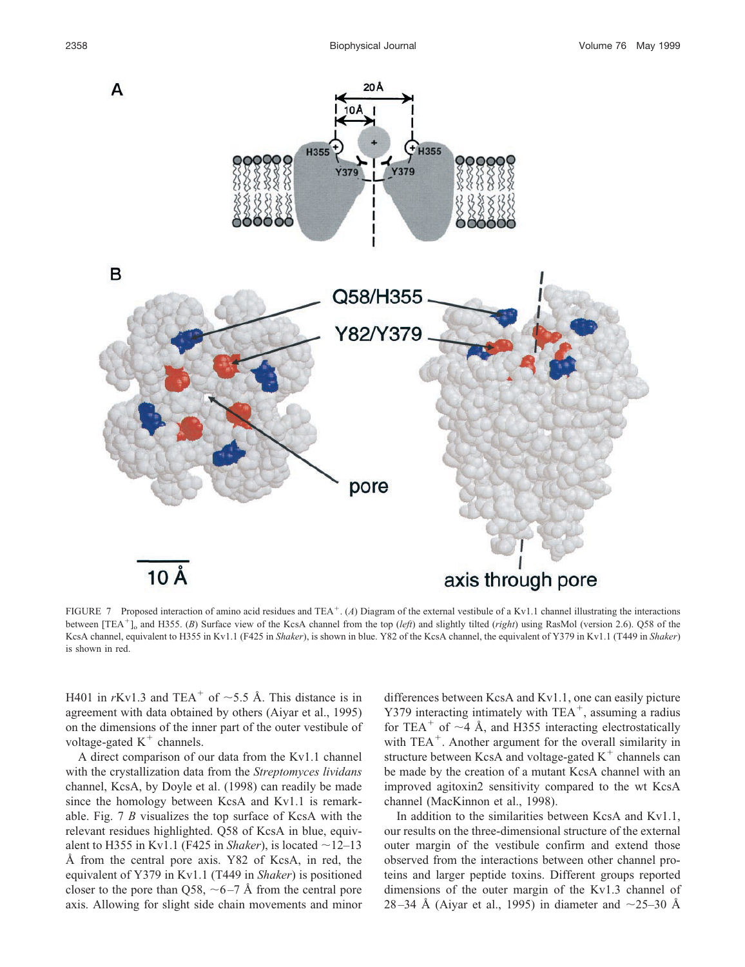

FIGURE 7 Proposed interaction of amino acid residues and TEA<sup>+</sup>. (A) Diagram of the external vestibule of a Kv1.1 channel illustrating the interactions between [TEA-]o and H355. (*B*) Surface view of the KcsA channel from the top (*left*) and slightly tilted (*right*) using RasMol (version 2.6). Q58 of the KcsA channel, equivalent to H355 in Kv1.1 (F425 in *Shaker*), is shown in blue. Y82 of the KcsA channel, the equivalent of Y379 in Kv1.1 (T449 in *Shaker*) is shown in red.

H401 in  $rKv1.3$  and TEA<sup>+</sup> of  $\sim$ 5.5 Å. This distance is in agreement with data obtained by others (Aiyar et al., 1995) on the dimensions of the inner part of the outer vestibule of voltage-gated  $K^+$  channels.

A direct comparison of our data from the Kv1.1 channel with the crystallization data from the *Streptomyces lividans* channel, KcsA, by Doyle et al. (1998) can readily be made since the homology between KcsA and Kv1.1 is remarkable. Fig. 7 *B* visualizes the top surface of KcsA with the relevant residues highlighted. Q58 of KcsA in blue, equivalent to H355 in Kv1.1 (F425 in *Shaker*), is located  $\sim$ 12–13 Å from the central pore axis. Y82 of KcsA, in red, the equivalent of Y379 in Kv1.1 (T449 in *Shaker*) is positioned closer to the pore than Q58,  $\sim$  6–7 Å from the central pore axis. Allowing for slight side chain movements and minor differences between KcsA and Kv1.1, one can easily picture Y379 interacting intimately with TEA<sup>+</sup>, assuming a radius for TEA<sup>+</sup> of  $\sim$ 4 Å, and H355 interacting electrostatically with TEA<sup>+</sup>. Another argument for the overall similarity in structure between KcsA and voltage-gated  $K^+$  channels can be made by the creation of a mutant KcsA channel with an improved agitoxin2 sensitivity compared to the wt KcsA channel (MacKinnon et al., 1998).

In addition to the similarities between KcsA and Kv1.1, our results on the three-dimensional structure of the external outer margin of the vestibule confirm and extend those observed from the interactions between other channel proteins and larger peptide toxins. Different groups reported dimensions of the outer margin of the Kv1.3 channel of 28–34 Å (Aiyar et al., 1995) in diameter and  $\sim$ 25–30 Å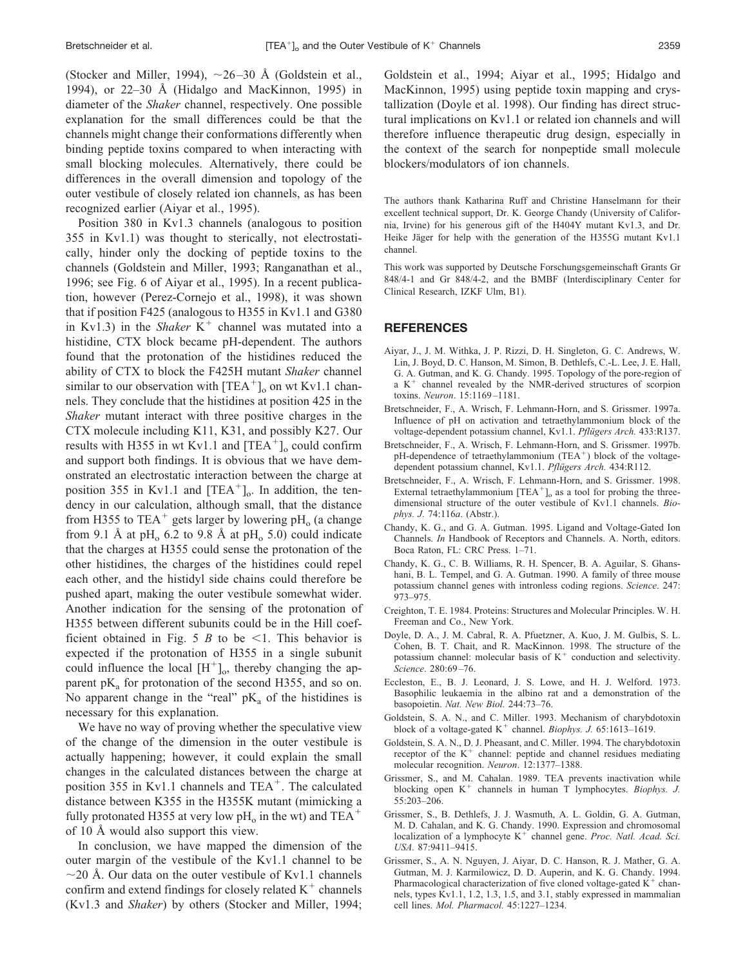(Stocker and Miller, 1994),  $\sim$ 26-30 Å (Goldstein et al., 1994), or 22–30 Å (Hidalgo and MacKinnon, 1995) in diameter of the *Shaker* channel, respectively. One possible explanation for the small differences could be that the channels might change their conformations differently when binding peptide toxins compared to when interacting with small blocking molecules. Alternatively, there could be differences in the overall dimension and topology of the outer vestibule of closely related ion channels, as has been recognized earlier (Aiyar et al., 1995).

Position 380 in Kv1.3 channels (analogous to position 355 in Kv1.1) was thought to sterically, not electrostatically, hinder only the docking of peptide toxins to the channels (Goldstein and Miller, 1993; Ranganathan et al., 1996; see Fig. 6 of Aiyar et al., 1995). In a recent publication, however (Perez-Cornejo et al., 1998), it was shown that if position F425 (analogous to H355 in Kv1.1 and G380 in Kv1.3) in the *Shaker*  $K^+$  channel was mutated into a histidine, CTX block became pH-dependent. The authors found that the protonation of the histidines reduced the ability of CTX to block the F425H mutant *Shaker* channel similar to our observation with  $[TEA^+]_0$  on wt Kv1.1 channels. They conclude that the histidines at position 425 in the *Shaker* mutant interact with three positive charges in the CTX molecule including K11, K31, and possibly K27. Our results with H355 in wt Kv1.1 and  $[TEA^+]_o$  could confirm and support both findings. It is obvious that we have demonstrated an electrostatic interaction between the charge at position 355 in Kv1.1 and  $[TEA^+]$ <sub>o</sub>. In addition, the tendency in our calculation, although small, that the distance from H355 to TEA<sup>+</sup> gets larger by lowering  $pH_0$  (a change from 9.1 Å at pH<sub>o</sub> 6.2 to 9.8 Å at pH<sub>o</sub> 5.0) could indicate that the charges at H355 could sense the protonation of the other histidines, the charges of the histidines could repel each other, and the histidyl side chains could therefore be pushed apart, making the outer vestibule somewhat wider. Another indication for the sensing of the protonation of H355 between different subunits could be in the Hill coefficient obtained in Fig. 5 *B* to be  $\leq$ 1. This behavior is expected if the protonation of H355 in a single subunit could influence the local  $[H^+]_0$ , thereby changing the apparent  $pK_a$  for protonation of the second H355, and so on. No apparent change in the "real"  $pK_a$  of the histidines is necessary for this explanation.

We have no way of proving whether the speculative view of the change of the dimension in the outer vestibule is actually happening; however, it could explain the small changes in the calculated distances between the charge at position 355 in Kv1.1 channels and TEA<sup>+</sup>. The calculated distance between K355 in the H355K mutant (mimicking a fully protonated H355 at very low pH<sub>o</sub> in the wt) and TEA<sup>+</sup> of 10 Å would also support this view.

In conclusion, we have mapped the dimension of the outer margin of the vestibule of the Kv1.1 channel to be  $\sim$ 20 Å. Our data on the outer vestibule of Kv1.1 channels confirm and extend findings for closely related  $K^+$  channels (Kv1.3 and *Shaker*) by others (Stocker and Miller, 1994; Goldstein et al., 1994; Aiyar et al., 1995; Hidalgo and MacKinnon, 1995) using peptide toxin mapping and crystallization (Doyle et al. 1998). Our finding has direct structural implications on Kv1.1 or related ion channels and will therefore influence therapeutic drug design, especially in the context of the search for nonpeptide small molecule blockers/modulators of ion channels.

The authors thank Katharina Ruff and Christine Hanselmann for their excellent technical support, Dr. K. George Chandy (University of California, Irvine) for his generous gift of the H404Y mutant Kv1.3, and Dr. Heike Jäger for help with the generation of the H355G mutant Kv1.1 channel.

This work was supported by Deutsche Forschungsgemeinschaft Grants Gr 848/4-1 and Gr 848/4-2, and the BMBF (Interdisciplinary Center for Clinical Research, IZKF Ulm, B1).

#### **REFERENCES**

- Aiyar, J., J. M. Withka, J. P. Rizzi, D. H. Singleton, G. C. Andrews, W. Lin, J. Boyd, D. C. Hanson, M. Simon, B. Dethlefs, C.-L. Lee, J. E. Hall, G. A. Gutman, and K. G. Chandy. 1995. Topology of the pore-region of a K<sup>+</sup> channel revealed by the NMR-derived structures of scorpion toxins. *Neuron*. 15:1169 –1181.
- Bretschneider, F., A. Wrisch, F. Lehmann-Horn, and S. Grissmer. 1997a. Influence of pH on activation and tetraethylammonium block of the voltage-dependent potassium channel, Kv1.1. Pflügers Arch. 433:R137.
- Bretschneider, F., A. Wrisch, F. Lehmann-Horn, and S. Grissmer. 1997b. pH-dependence of tetraethylammonium (TEA<sup>+</sup>) block of the voltagedependent potassium channel, Kv1.1. *Pflügers Arch.* 434:R112.
- Bretschneider, F., A. Wrisch, F. Lehmann-Horn, and S. Grissmer. 1998. External tetraethylammonium  $[TEA^+]$  as a tool for probing the threedimensional structure of the outer vestibule of Kv1.1 channels. *Biophys. J.* 74:116*a*. (Abstr.).
- Chandy, K. G., and G. A. Gutman. 1995. Ligand and Voltage-Gated Ion Channels. *In* Handbook of Receptors and Channels. A. North, editors. Boca Raton, FL: CRC Press. 1–71.
- Chandy, K. G., C. B. Williams, R. H. Spencer, B. A. Aguilar, S. Ghanshani, B. L. Tempel, and G. A. Gutman. 1990. A family of three mouse potassium channel genes with intronless coding regions. *Science*. 247: 973–975.
- Creighton, T. E. 1984. Proteins: Structures and Molecular Principles. W. H. Freeman and Co., New York.
- Doyle, D. A., J. M. Cabral, R. A. Pfuetzner, A. Kuo, J. M. Gulbis, S. L. Cohen, B. T. Chait, and R. MacKinnon. 1998. The structure of the potassium channel: molecular basis of  $K^+$  conduction and selectivity. *Science*. 280:69 –76.
- Eccleston, E., B. J. Leonard, J. S. Lowe, and H. J. Welford. 1973. Basophilic leukaemia in the albino rat and a demonstration of the basopoietin. *Nat. New Biol.* 244:73–76.
- Goldstein, S. A. N., and C. Miller. 1993. Mechanism of charybdotoxin block of a voltage-gated K<sup>+</sup> channel. *Biophys. J.* 65:1613-1619.
- Goldstein, S. A. N., D. J. Pheasant, and C. Miller. 1994. The charybdotoxin receptor of the  $K^+$  channel: peptide and channel residues mediating molecular recognition. *Neuron*. 12:1377–1388.
- Grissmer, S., and M. Cahalan. 1989. TEA prevents inactivation while blocking open K<sup>+</sup> channels in human T lymphocytes. *Biophys. J.* 55:203–206.
- Grissmer, S., B. Dethlefs, J. J. Wasmuth, A. L. Goldin, G. A. Gutman, M. D. Cahalan, and K. G. Chandy. 1990. Expression and chromosomal localization of a lymphocyte K<sup>+</sup> channel gene. Proc. Natl. Acad. Sci. *USA.* 87:9411–9415.
- Grissmer, S., A. N. Nguyen, J. Aiyar, D. C. Hanson, R. J. Mather, G. A. Gutman, M. J. Karmilowicz, D. D. Auperin, and K. G. Chandy. 1994. Pharmacological characterization of five cloned voltage-gated  $K^+$  channels, types Kv1.1, 1.2, 1.3, 1.5, and 3.1, stably expressed in mammalian cell lines. *Mol. Pharmacol.* 45:1227–1234.